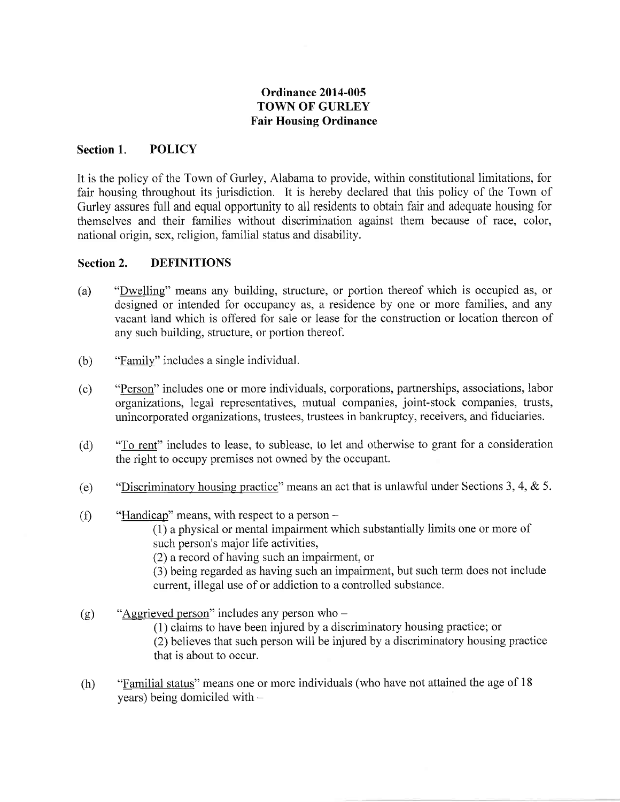# Ordinance 2014-005 TOWN OF GURLEY Fair Housing Ordinance

### Section 1. POLICY

It is the policy of the Town of Gurley, Alabama to provide, within constitutional limitations, for fair housing throughout its jurisdiction. It is hereby declared that this policy of the Town of Gurley assures full and equal opportunity to all residents to obtain fair and adequate housing for themselves and their families without discrimination against them because of race, color, national origin, sex, religion, familial status and disability.

#### Section 2. DEFINITIONS

- (a) "Dwelling" means any building, structure, or portion thereof which is occupied as, or designed or intended for occupancy as, a residence by one or more families, and any vacant land which is offered for sale or lease for the construction or location thereon of any such building, structure, or portion thereof.
- (b) "Family" includes a single individual.
- (c) "Person" includes one or more individuals, corporations, partnerships, associations, labor organizations, legal representatives, mutual companies, joint-stock companies, ttusts, unincorporated organizations, trustees, trustees in bankruptcy, receivers, and fiduciaries.
- (d) "To rent" includes to lease, to sublease, to let and otherwise to grant for a consideration the right to occupy premises not owned by the occupant.
- (e) "Discriminatory housing practice" means an act that is unlawful under Sections 3, 4, & 5.
- $(f)$  "Handicap" means, with respect to a person -

(1) a physical or mental impairment which substantially limits one or more of such person's major life activities,

(2) a record of having such an impairment, or

(3) being regarded as having such an impairment, but such term does not include current, illegal use of or addiction to a controlled substance.

- (g) "Aggrieved person" includes any person who  $-$ (1) claims to have been injured by a discriminatory housing practice; or (2) believes that such person will be injured by a discriminatory housing practice that is about to occur.
- (h) "Familial status" means one or more individuals (who have not attained the age of <sup>18</sup> years) being domiciled with -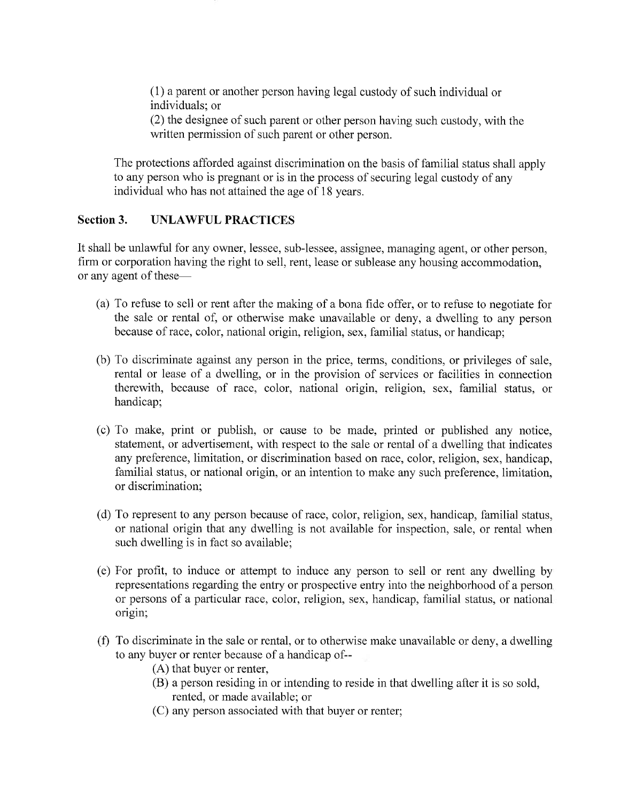(1) a parent or another person having legal custody of such individual or individuals: or

(2) the designee of such parent or other person having such custody, with the written permission of such parent or other person.

The protections afforded against discrimination on the basis of familial status shall apply to any person who is pregnant or is in the process of securing legal custody of any individual who has not attained the age of 18 years.

#### Section 3. UNLAWFUL PRACTICES

It shall be unlawful for any owner, lessee, sub-lessee, assignee, managing agent, or other person, firm or corporation having the right to sell, rent, lease or sublease any housing accommodation, or any agent of these—

- (a) To refuse to sell or rent after the making of a bona fide offer, or to refuse to negotiate for the sale or rental of, or otherwise make unavailable or deny, a dwelling to any person because of tace, color, national origin, religion, sex, familial status, or handicap;
- (b) To discriminate against any person in the price, terms, conditions, or privileges of sale, rental or lease of a dwelling, or in the provision of services or facilities in connection therewith, because of race, color, national origin, religion, sex, familial status, or handicap;
- (c) To make, print or publish, or cause to be made, printed or published any notice, statement, or advertisement, with respect to the sale or rental of a dwelling that indicates any preference, limitation, or discrimination based on race, color, religion, sex, handicap, familial status, or national origin, or an intention to make any such preference, limitation, or discrimination;
- (d) To represent to any person because of race, color, religion, sex, handicap, familial status, or national origin that any dwelling is not available for inspection, sale, or rental when such dwelling is in fact so available;
- (e) For profrt, to induce or attempt to induce any person to sell or rent any dwelling by representations regarding the entry or prospective entry into the neighborhood of a person or persons of a particular race, color, religion, sex, handicap, familial status, or national origin;
- (f) To discriminate in the sale or rental, or to otherwise make unavailable or deny, a dwelling to any buyer or renter because of a handicap of--
	- (A) that buyer or renter,
	- (B) a person residing in or intending to reside in that dwelling after it is so sold, rented, or made available; or
	- (C) any person associated with that buyer or renter;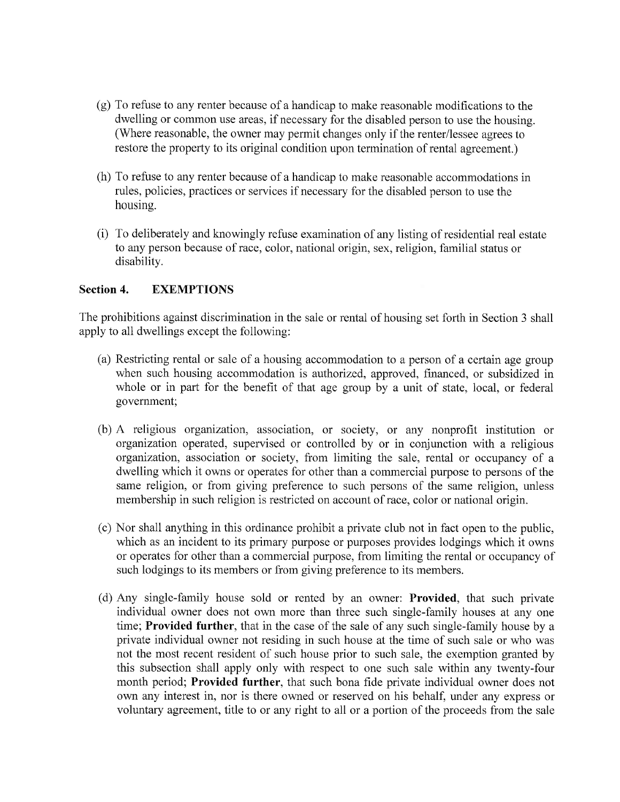- (g) To refuse to any renter because of a handicap to make reasonable modifications to the dwelling or common use areas, if necessary for the disabled person to use the housing. (Where reasonable, the owner may permit changes only if the renter/lessee agrees to restore the property to its original condition upon termination of rental agreement.)
- (h) To refuse to any renter because of a handicap to make reasonable accommodations in tules, policies, practices or services ifnecessary for the disabled person to use the housing.
- (i) To deliberately and knowingly refuse examination of any listing of residential real estate to any person because of race, color, national origin, sex, religion, familial status or disability.

### Section 4. EXEMPTIONS

The prohibitions against discrimination in the sale or rental of housing set forth in Section 3 shall apply to all dwellings except the following:

- (a) Restricting rental or sale of a housing accommodation to a person of a certain age group when such housing accommodation is authorized, approved, financed, or subsidized in whole or in part for the benefit of that age group by a unit of state, local, or federal government;
- (b) A religious organization, association, or society, or any nonprofit institution or organization operated, supervised or controlled by or in conjunction with a religious organization, association or society, from limiting the sale, rental or occupancy of a dwelling which it owns or operates for other than a commercial purpose to persons of the same religion, or from giving preference to such persons of the same religion, unless membership in such religion is restricted on account of race, color or national origin.
- (c) Nor shall anything in this ordinance prohibit a private club not in fact open to the public, which as an incident to its primary purpose or purposes provides lodgings which it owns or operates for other than a commercial purpose, from limiting the rental or occupancy of such lodgings to its members or from giving preference to its members.
- (d) Any single-family house sold or rented by an owner: Provided, that such private individual owner does not own more than three such single-family houses at any one time; Provided further, that in the case of the sale of any such single-family house by a private individual owner not residing in such house at the time of such sale or who was not the most recent resident of such house prior to such sale, the exemption granted by this subsection shall apply only with respect to one such sale within any twenty-four month period; Provided further, that such bona fide private individual owner does not own any interest in, nor is there owned or reserved on his behalf, under any express or voluntary agreement, title to or any right to all or a portion of the proceeds from the sale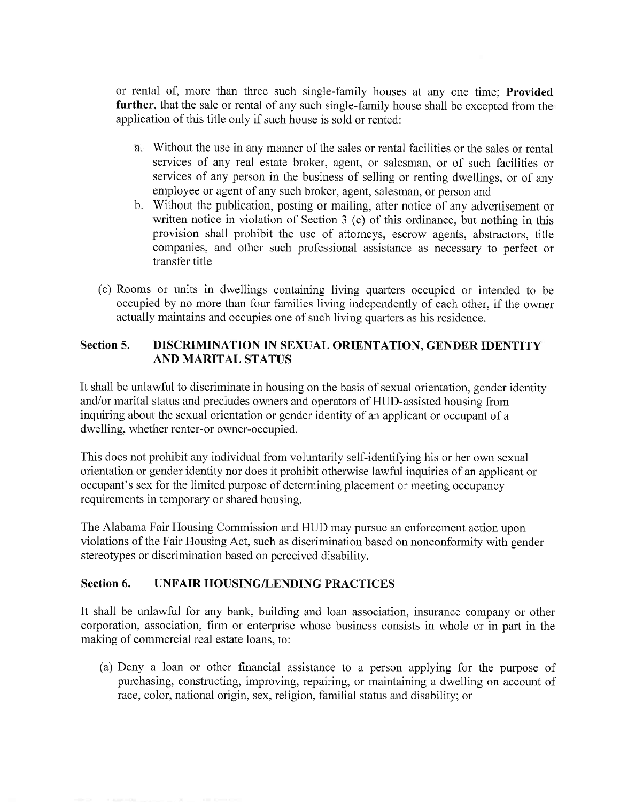or rental of, more than three such single-family houses at any one time; Provided further, that the sale or rental of any such single-family house shall be excepted from the application of this title only if such house is sold or rented:

- Without the use in any manner of the sales or rental facilities or the sales or rental services of any real estate broker, agent, or salesman, or of such facilities or services of any person in the business of selling or renting dwellings, or of any employee or agent of any such broker, agent, salesman, or person and
- Without the publication, posting or mailing, after notice of any advertisement or b.written notice in violation of Section 3 (c) of this ordinance, but nothing in this provision shall prohibit the use of attorneys, escrow agents, abstractors, title companies, and other such professional assistance as necessary to perfect or transfer title
- (e) Rooms or units in dwellings containing living quafiers occupied or intended to be occupied by no more than four families living independently of each other, if the owner actually maintains and occupies one of such living quarters as his residence.

# Section 5. DISCRIMINATION IN SEXUAL ORIENTATION, GENDER IDENTITY AND MARITAL STATUS

It shall be unlawful to discriminate in housing on the basis of sexual orientation, gender identity and/or marital status and precludes owners and operators of HUD-assisted housing from inquiring about the sexual orientation or gender identity of an applicant or occupant of a dwelling, whether renter-or owner-occupied.

This does not prohibit any individual from voluntarily self-identifying his or her own sexual orientation or gender identity nor does it prohibit otherwise lawful inquiries of an applicant or occupant's sex for the limited purpose of determining placement or meeting occupancy requirements in temporary or shared housing.

The Alabama Fair Housing Commission and HUD may pursue an enforcement action upon violations of the Fair Housing Act, such as discrimination based on nonconformity with gender stereotypes or discrimination based on perceived disability.

## Section 6. UNFAIR HOUSING/LENDING PRACTICES

It shall be unlawful for any bank, building and loan association, insurance oompany or other corporation, association, ftrm or enterprise whose business consists in whole or in part in the making of commercial real estate loans, to:

(a) Deny a loan or other financial assistance to a person applying for the purpose of purchasing, constructing, improving, repairing, or maintaining a dwelling on account of race, color, national origin, sex, religion, familial status and disability; or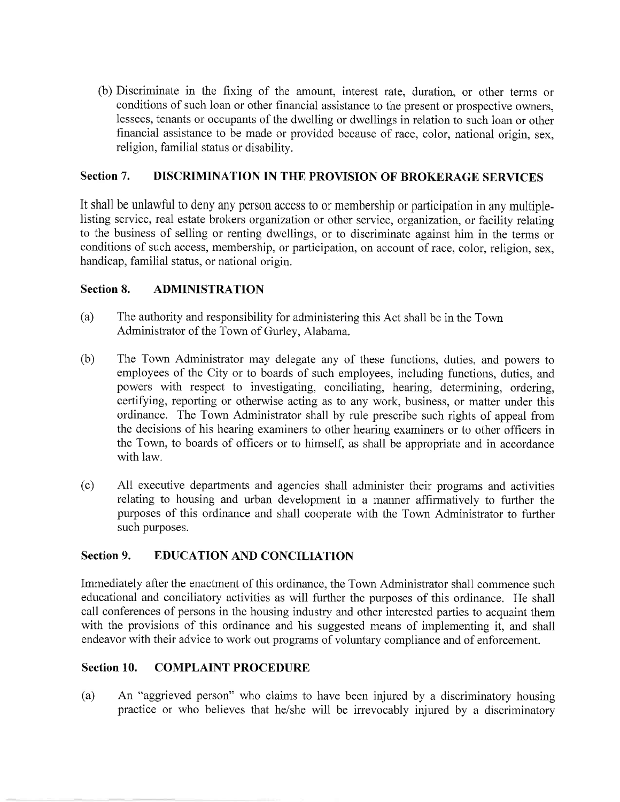(b) Discriminate in the fixing of the amount, interest rate, duration, or other terms or conditions of such loan or other financial assistance to the present or prospective owners, lessees, tenants or occupants of the dwelling or dwellings in relation to such loan or other financial assistance to be made or provided because of race, color, national origin, sex, religion, familial status or disability.

### Section 7. DISCRIMINATION IN THE PROVISION OF BROKERAGE SERVICES

It shall be unlawful to deny any person access to or membership or participation in any multiplelisting service, real estate brokers organization or other service, organization, or facility relating to the business of selling or renting dwellings, or to discriminate against him in the terms or conditions of such access, membership, or parlicipation, on account of race, color, religion, sex, handicap, familial status, or national origin.

#### Section 8. ADMINISTRATION

- (a) The authority and responsibility for administering this Act shall be in the Town Administrator of the Town of Gurlev. Alabama.
- (b) The Town Administrator may delegate any of these functions, duties, and powers to employees of the City or to boards of such employees, including functions, duties, and powers with respect to investigating, conciliating, hearing, determining, ordering, certifying, reporting or otherwise acting as to any work, business, or matter under this ordinance. The Town Administrator shall by rule prescribe such rights of appeal from the decisions of his hearing examiners to other hearing examiners or to other officers in the Town, to boards of officers or to himself, as shall be appropriate and in accordance with law.
- (c) All executive departments and agencies shall administer their programs and activities relating to housing and urban development in a manner affirmatively to further the putposes of this ordinance and shall cooperate with the Town Administrator to further such purposes.

#### Section 9. EDUCATION AND CONCILIATION

Immediately after the enactment of this ordinance, the Town Administrator shall commence such educational and conciliatory activities as will further the purposes of this ordinance. He shall call conferences of persons in the housing industry and other interested parties to acquaint them with the provisions of this ordinance and his suggested means of implementing it, and shall endeavor with their advice to work out programs of voluntary compliance and of enforcement.

#### Section 10. COMPLAINT PROCEDURE

An "aggrieved person" who claims to have been injured by a discriminatory housing practice or who believes that he/she will be irrevocably injured by a discriminatory (a)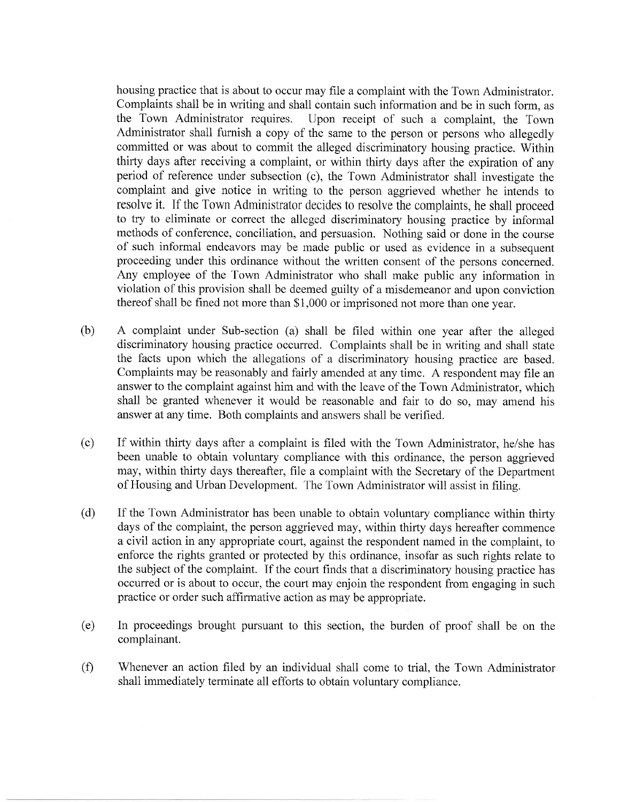housing practice that is about to occur may file a complaint with the Town Administrator. Complaints shall be in writing and shall contain such information and be in such form, as the Town Administrator requires. Upon receipt of such a complaint, the Town Administrator shall furnish a copy of the same to the person or persons who allegedly committed or was about to commit the alleged discriminatory housing practice. Within thitty days after receiving a complaint, or within thirty days after the expiration of any period of reference under subsection (c), the Town Administrator shall investigate the complaint and give notice in writing to the person aggrieved whether he intends to resolve it. If the Town Administrator decides to resolve the complaints, he shall proceed to try to eliminate or correct the alleged discriminatory housing practice by informal methods of conference, conciliation, and persuasion. Nothing said or done in the course of such informal endeavors may be made public or used as evidence in a subsequent proceeding under this ordinance without the written consent of the persons concerned. Any employee of the Town Administrator who shall make public any information in violation of this provision shall be deemed guilty of a misdemeanor and upon conviction thereof shall be fined not more than \$1,000 or imprisoned not more than one year.

- (b) A complaint under Sub-section (a) shall be filed within one year after the alleged discriminatory housing practice occurred. Complaints shall be in writing and shall state the facts upon which the allegations of a discriminatory housing practice are based. Complaints may be reasonably and fairly amended at any time. A respondent may file an answer to the complaint against him and with the leave of the Town Administrator, which shall be granted whenever it would be reasonable and fair to do so, may amend his answer at any time. Both complaints and answers shall be verified.
- If within thirty days after a complaint is filed with the Town Administrator, he/she has been unable to obtain voluntary compliance with this ordinance, the person aggrieved may, within thirty days thereafter, file a complaint with the Secretary of the Department of Housing and Urban Development. The Town Administrator will assist in filing. (c)
- If the Town Administrator has been unable to obtain voluntary compliance within thirty days of the complaint, the person aggrieved may, within thirty days hereafter commence a civil action in any appropriate court, against the respondent named in the complaint, to enforce the rights granted or protected by this ordinance, insofar as such rights relate to the subject of the complaint. If the court finds that a discriminatory housing practice has occurred or is about to occur, the court may enjoin the respondent from engaging in such practice or order such affirmative action as may be appropriate. (d)
- In proceedings brought pursuant to this section, the burden of proof shall be on the complainant.  $(e)$
- Whenever an action filed by an individual shall come to trial, the Town Administrator shall immediately terminate all efforts to obtain voluntary compliance.  $(f)$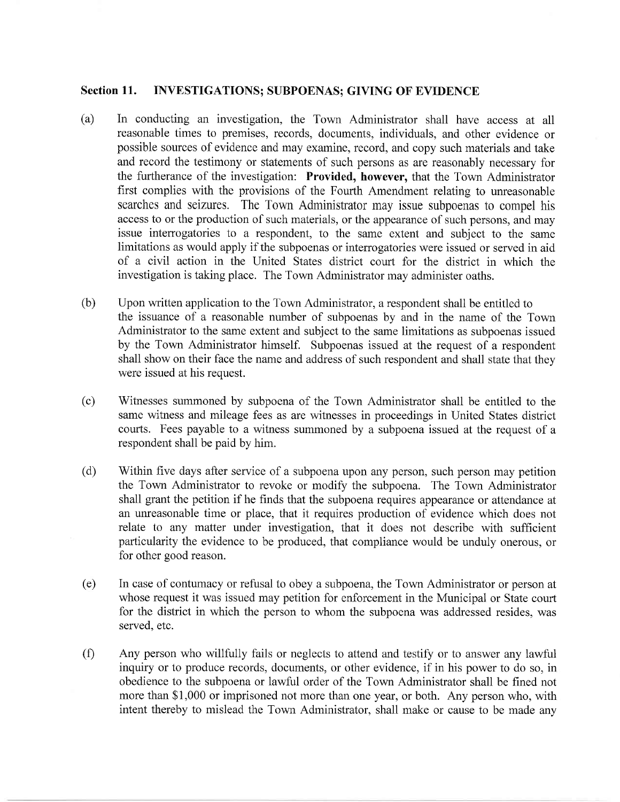#### Section 11. INVESTIGATIONS; SUBPOENAS; GIVING OF EVIDENCE

- (a) In conducting an investigation, the Town Administrator shall have access at all reasonable times to premises, records, documents, individuals, and other evidence or possible sources of evidence and may examine, record, and copy such materials and take and record the testimony or statements of such persons as are reasonably necessary for the furtherance of the investigation: Provided, however, that the Town Administrator first complies with the provisions of the Fourth Amendment relating to unreasonable searches and seizures. The Town Administrator may issue subpoenas to compel his access to or the production of such materials, or the appearance of such persons, and may issue interrogatories to a respondent, to the same extent and subject to the same limitations as would apply if the subpoenas or interrogatories were issued or served in aid of a civil action in the United States district court for the district in which the investigation is taking place. The Town Administrator may administer oaths.
- (b) Upon written application to the Town Administrator, a respondent shall be entitled to the issuance of a reasonable number of subpoenas by and in the name of the Town Administrator to the same extent and subject to the same limitations as subpoenas issued by the Town Administrator himself. Subpoenas issued at the request of a respondent shall show on their face the name and address of such respondent and shall state that they were issued at his request.
- Witnesses summoned by subpoena of the Town Administrator shall be entitled to the same witness and mileage fees as are witnesses in proceedings in United States district courts. Fees payable to a witness summoned by a subpoena issued at the request of a respondent shall be paid by him. (c)
- Within five days after service of a subpoena upon any person, such person may petition the Town Administrator to revoke or modify the subpoena. The Town Administrator shall grant the petition if he finds that the subpoena requires appearance or attendance at an unreasonable time or place, that it requires production of evidence which does not relate to any matter under investigation, that it does not describe with sufficient particularity the evidence to be produced, that compliance would be unduly onerous, or for other good reason. (d)
- In case of contumacy or refusal to obey a subpoena, the Town Administrator or person at whose request it was issued may petition for enforcement in the Municipal or State court for the district in which the person to whom the subpoena was addressed resides, was served, etc. (e)
- Any person who willfully fails or neglects to attend and testify or to answer any lawful inquiry or to produce records, documents, or other evidence, if in his power to do so, in obedience to the subpoena or lawful order of the Town Administrator shall be fined not more than \$1,000 or imprisoned not more than one year, or both. Any person who, with intent thereby to mislead the Town Administrator, shall make or cause to be made any  $(f)$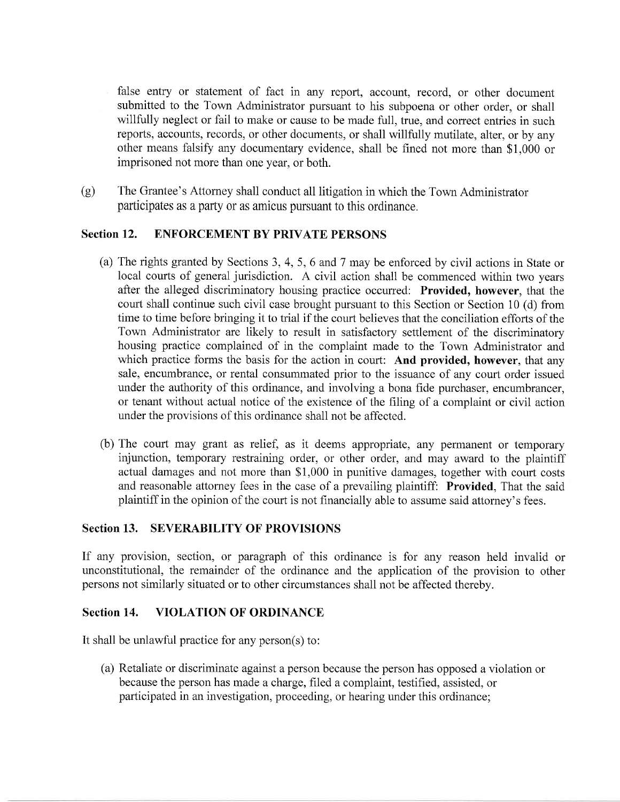false entry or statement of fact in any report, account, record, or other document submitted to the Town Administrator pursuant to his subpoena or other order, or shall willfully neglect or fail to make or cause to be made full, true, and correct entries in such reports, accounts, records, or other documents, or shall willfully mutilate, alter, or by any other means falsify any documentary evidence, shall be fined not more than \$1,000 or imprisoned not more than one year, or both.

(g) The Grantee's Attorney shall conduct all litigation in which the Town Administrator participates as a party 0r as amicus pursuant to this ordinance.

## Section 12. ENFORCEMENT BY PRIVATE PERSONS

- (a) The rights granted by Sections 3, 4, 5, 6 and 7 may be enforced by civil actions in State or local courts of general jurisdiction. A civil action shall be commenced within two years after the alleged discriminatory housing practice occurred: Provided, however, that the court shall continue such civil case brought pursuant to this Section or Section 10 (d) from time to time before bringing it to trial if the court believes that the conciliation efforts of the Town Administrator are likely to result in satisfactory settlement of the discriminatory housing practice complained of in the complaint made to the Town Administrator and which practice forms the basis for the action in court: And provided, however, that any sale, encumbrance, or rental consummated prior to the issuance of any court order issued under the authority of this ordinance, and involving a bona fide purchaser, encumbrancer, or tenant without actual notice of the existence of the filing of a complaint or civil action under the provisions of this ordinance shall not be affected.
- (b) The court may grant as relief, as it deems appropriate, any permanent or temporary injunction, temporary restraining order, or other order, and may award to the plaintiff actual damages and not more than \$1,000 in punitive damages, together with court costs and reasonable attorney fees in the case of a prevailing plaintiff: Provided, That the said plaintiff in the opinion of the court is not financially able to assume said attorney's fees.

#### Section 13. SEVERABILITY OF PROVISIONS

If any provision, section, or paragraph of this ordinance is for any reason held invalid or unconstitutional, the remainder of the ordinance and the application of the provision to other persons not similarly situated or to other circumstances shall not be affected thereby.

#### Section 14. VIOLATION OF ORDINANCE

It shall be unlawful practice for any person(s) to:

(a) Retaliate or discriminate against a person because the person has opposed a violation or because the person has made a charge, filed a complaint, testified, assisted, or participated in an investigation, proceeding, or hearing under this ordinance;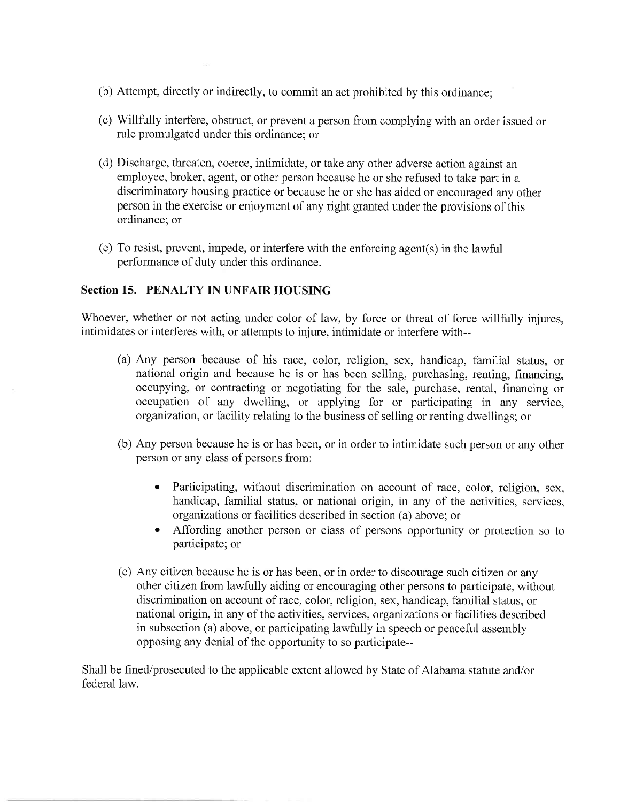- (b) Attempt, directly or indirectly, to commit an act prohibited by this ordinance;
- (c) Willfully interfere, obstruct, or prevent a person from complying with an order issued or rule promulgated under this ordinance; or
- (d) Discharge, threaten, coerce, intimidate, or take any other adverse action against an employee, broker, agent, or other person because he or she refused to take part in a discriminatory housing practice or because he or she has aided or encouraged any other person in the exercise or enjoyment of any right granted under the provisions of this ordinance; or
- (e) To resist, prevent, impede, or interfere with the enforcing agent(s) in the lawful performance of duty under this ordinance.

#### Section 15. PENALTY IN UNFAIR HOUSING

Whoever, whether or not acting under color of law, by force or threat of force willfully injures, intimidates or interferes with, or attempts to injure, intimidate or interfere with--

- (a) Any person because of his race, color, religion, sex, handicap, familial status, or national origin and because he is or has been selling, purchasing, renting, financing, occupying, or contracting or negotiating for the sale, purchase, rental, financing or occupation of any dwelling, or applying for or participating in any service, organization, or facility relating to the business of selling or renting dwellings; or
- (b) Any person because he is or has been, or in order to intimidate such person or any other person or any class of persons from:
	- o Participating, without discrimination on account of race, color, religion, sex, handicap, familial status, or national origin, in any of the activities, services, organizations or facilities described in section (a) above; or
	- o Affording another person or class of persons opportunity or protection so to participate; or
- (c) Any cilizen because he is or has been, or in order to discourage such citizen or any other citizen from lawfully aiding or encouraging other persons to participate, without discrimination on account of race, color, religion, sex, handicap, familial status, or national origin, in any of the activities, services, organizations or facilities described in subsection (a) above, or participating lawfully in speech or peaceful assembly opposing any denial of the opportunity to so participate--

Shall be fined/prosecuted to the applicable extent allowed by State of Alabama statute and/or federal law.